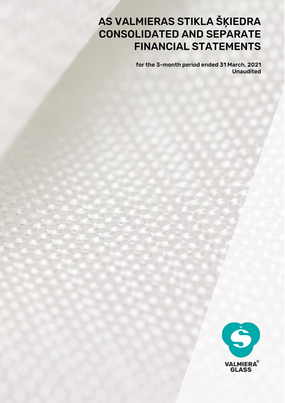# AS VALMIERAS STIKLA ŠĶIEDRA CONSOLIDATED AND SEPARATE FINANCIAL STATEMENTS

for the 3-month period ended 31 March, 2021 Unaudited

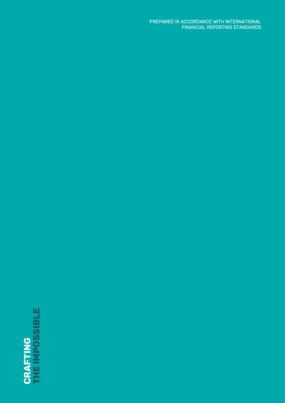# **CRAFTING<br>THE IMPOSSIBLE THE IMPOSSIBLE**

PREPARED IN ACCORDANCE WITH INTERNATIONAL FINANCIAL REPORTING STANDARDS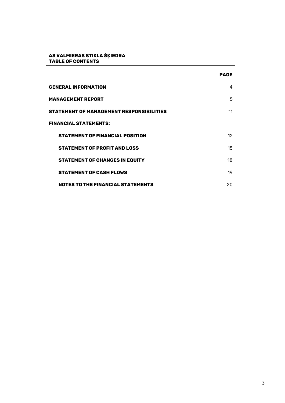#### **AS VALMIERAS STIKLA ŠĶIEDRA TABLE OF CONTENTS**

|                                                 | <b>PAGE</b> |
|-------------------------------------------------|-------------|
| <b>GENERAL INFORMATION</b>                      | 4           |
| MANAGEMENT REPORT                               | 5           |
| <b>STATEMENT OF MANAGEMENT RESPONSIBILITIES</b> | 11          |
| <b>FINANCIAL STATEMENTS:</b>                    |             |
| <b>STATEMENT OF FINANCIAL POSITION</b>          | 12          |
| <b>STATEMENT OF PROFIT AND LOSS</b>             | 15          |
| <b>STATEMENT OF CHANGES IN EQUITY</b>           | 18          |
| <b>STATEMENT OF CASH FLOWS</b>                  | 19          |
| <b>NOTES TO THE FINANCIAL STATEMENTS</b>        | 20          |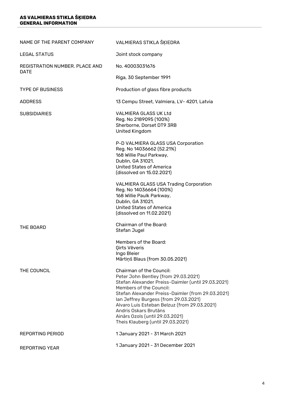#### **AS VALMIERAS STIKLA ŠĶIEDRA GENERAL INFORMATION**

| NAME OF THE PARENT COMPANY     | VALMIERAS STIKLA ŠĶIEDRA                                                                                                                                                                                                                                                                                                                                                                         |
|--------------------------------|--------------------------------------------------------------------------------------------------------------------------------------------------------------------------------------------------------------------------------------------------------------------------------------------------------------------------------------------------------------------------------------------------|
| <b>LEGAL STATUS</b>            | Joint stock company                                                                                                                                                                                                                                                                                                                                                                              |
| REGISTRATION NUMBER. PLACE AND | No. 40003031676                                                                                                                                                                                                                                                                                                                                                                                  |
| DATE                           | Riga, 30 September 1991                                                                                                                                                                                                                                                                                                                                                                          |
| <b>TYPE OF BUSINESS</b>        | Production of glass fibre products                                                                                                                                                                                                                                                                                                                                                               |
| <b>ADDRESS</b>                 | 13 Cempu Street, Valmiera, LV- 4201, Latvia                                                                                                                                                                                                                                                                                                                                                      |
| <b>SUBSIDIARIES</b>            | <b>VALMIERA GLASS UK Ltd</b><br>Reg. No 2189095 (100%)<br>Sherborne, Dorset DT9 3RB<br>United Kingdom                                                                                                                                                                                                                                                                                            |
|                                | P-D VALMIERA GLASS USA Corporation<br>Reg. No 14036662 (52.21%)<br>168 Willie Paul Parkway,<br>Dublin, GA 31021,<br>United States of America<br>(dissolved on 15.02.2021)                                                                                                                                                                                                                        |
|                                | <b>VALMIERA GLASS USA Trading Corporation</b><br>Reg. No 14036664 (100%)<br>168 Willie Paulk Parkway,<br>Dublin, GA 31021,<br>United States of America<br>(dissolved on 11.02.2021)                                                                                                                                                                                                              |
| THF BOARD                      | Chairman of the Board:<br>Stefan Jugel                                                                                                                                                                                                                                                                                                                                                           |
|                                | Members of the Board:<br><b>Girts Vēveris</b><br>Ingo Bleier<br>Mārtiņš Blaus (from 30.05.2021)                                                                                                                                                                                                                                                                                                  |
| THE COUNCIL                    | Chairman of the Council:<br>Peter John Bentley (from 29.03.2021)<br>Stefan Alexander Preiss-Daimler (until 29.03.2021)<br>Members of the Council:<br>Stefan Alexander Preiss-Daimler (from 29.03.2021)<br>Ian Jeffrey Burgess (from 29.03.2021)<br>Alvaro Luis Esteban Belzuz (from 29.03.2021)<br>Andris Oskars Brutāns<br>Ainārs Ozols (until 29.03.2021)<br>Theis Klauberg (until 29.03.2021) |
| <b>REPORTING PERIOD</b>        | 1 January 2021 - 31 March 2021                                                                                                                                                                                                                                                                                                                                                                   |
| <b>REPORTING YEAR</b>          | 1 January 2021 - 31 December 2021                                                                                                                                                                                                                                                                                                                                                                |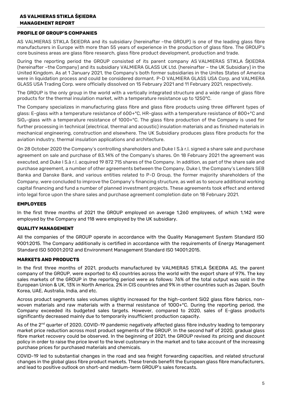### **AS VALMIERAS STIKLA ŠĶIEDRA MANAGEMENT REPORT**

#### **PROFILE OF GROUP'S COMPANIES**

AS VALMIERAS STIKLA ŠĶIEDRA and its subsidiary (hereinafter –the GROUP) is one of the leading glass fibre manufacturers in Europe with more than 55 years of experience in the production of glass fibre. The GROUP's core business areas are glass fibre research, glass fibre product development, production and trade.

During the reporting period the GROUP consisted of its parent company AS VALMIERAS STIKLA ŠĶIEDRA (hereinafter –the Company) and its subsidiary VALMIERA GLASS UK Ltd. (hereinafter – the UK Subsidiary) in the United Kingdom. As at 1 January 2021, the Company's both former subsidiaries in the Unites States of America were in liquidation process and could be considered dormant. P-D VALMIERA GLASS USA Corp. and VALMIERA GLASS USA Trading Corp. were officially dissolved on 15 February 2021 and 11 February 2021, respectively.

The GROUP is the only group in the world with a vertically integrated structure and a wide range of glass fibre products for the thermal insulation market, with a temperature resistance up to 1250°C.

The Company specializes in manufacturing glass fibre and glass fibre products using three different types of glass: E-glass with a temperature resistance of 600+°C, HR-glass with a temperature resistance of 800+°C and  $SiO<sub>2</sub>$ -glass with a temperature resistance of 1000+°C. The glass fibre production of the Company is used for further processing in technical (electrical, thermal and acoustic) insulation materials and as finished materials in mechanical engineering, construction and elsewhere. The UK Subsidiary produces glass fibre products for the aviation industry, thermal insulation applications and architecture.

On 28 October 2020 the Company's controlling shareholders and Duke I S.à r.l. signed a share sale and purchase agreement on sale and purchase of 83.14% of the Company's shares. On 18 February 2021 the agreement was executed, and Duke I S.à r.l. acquired 19 872 715 shares of the Company. In addition, as part of the share sale and purchase agreement, a number of other agreements between the Company, Duke I, the Company's Lenders SEB Banka and Danske Bank, and various entities related to P-D Group, the former majority shareholders of the Company, were concluded to improve the Company's financing structure, as well as to secure additional working capital financing and fund a number of planned investment projects. These agreements took effect and entered into legal force upon the share sales and purchase agreement completion date on 18 February 2021.

#### **EMPLOYEES**

In the first three months of 2021 the GROUP employed on average 1,260 employees, of which 1,142 were employed by the Company and 118 were employed by the UK subsidiary.

#### **QUALITY MANAGEMENT**

All the companies of the GROUP operate in accordance with the Quality Management System Standard ISO 9001:2015. The Company additionally is certified in accordance with the requirements of Energy Management Standard ISO 50001:2012 and Environment Management Standard ISO 14001:2015.

#### **MARKETS AND PRODUCTS**

In the first three months of 2021, products manufactured by VALMIERAS STIKLA ŠĶIEDRA AS, the parent company of the GROUP, were exported to 43 countries across the world with the export share of 97%. The key sales markets of the GROUP in the reporting period were as follows: 76% of the total output was sold in the European Union & UK, 13% in North America, 2% in CIS countries and 9% in other countries such as Japan, South Korea, UAE, Australia, India, and etc.

Across product segments sales volumes slightly increased for the high-content SiO2 glass fibre fabrics, nonwoven materials and raw materials with a thermal resistance of 1000+°C. During the reporting period, the Company exceeded its budgeted sales targets. However, compared to 2020, sales of E-glass products significantly decreased mainly due to temporarily insufficient production capacity.

As of the 2<sup>nd</sup> quarter of 2020, COVID-19 pandemic negatively affected glass fibre industry leading to temporary market price reduction across most product segments of the GROUP. In the second half of 2020, gradual glass fibre market recovery could be observed. In the beginning of 2021, the GROUP revised its pricing and discount policy in order to raise the price level to the level customary in the market and to take account of the increasing purchase prices for purchased materials and chemicals.

COVID-19 led to substantial changes in the road and sea freight forwarding capacities, and related structural changes in the global glass fibre product markets. These trends benefit the European glass fibre manufacturers, and lead to positive outlook on short-and medium-term GROUP's sales forecasts.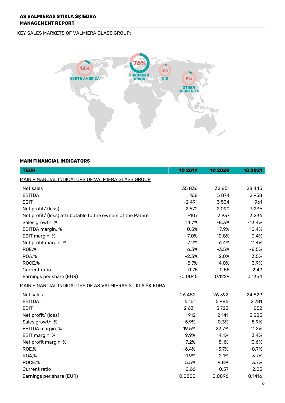#### KEY SALES MARKETS OF VALMIERA GLASS GROUP:



# **MAIN FINANCIAL INDICATORS**

| <b>TEUR</b>                                                     | <b>10 2019</b> | 10 20 20 | <b>10 2021</b> |
|-----------------------------------------------------------------|----------------|----------|----------------|
| MAIN FINANCIAL INDICATORS OF VALMIERA GLASS GROUP               |                |          |                |
| Net sales                                                       | 35836          | 32 851   | 28 4 45        |
| <b>EBITDA</b>                                                   | 168            | 5874     | 2958           |
| <b>EBIT</b>                                                     | $-2491$        | 3534     | 961            |
| Net profit/ (loss)                                              | $-2572$        | 2090     | 3 2 3 6        |
| Net profit/ (loss) attributable to the owners of the Parent     | $-107$         | 2937     | 3 2 3 6        |
| Sales growth, %                                                 | 14.7%          | $-8.3%$  | $-13.4%$       |
| EBITDA margin, %                                                | 0.5%           | 17.9%    | 10.4%          |
| EBIT margin, %                                                  | $-7.0%$        | 10.8%    | 3.4%           |
| Net profit margin, %                                            | $-7.2%$        | 6.4%     | 11.4%          |
| ROE,%                                                           | 6.3%           | $-3.5%$  | $-8.5%$        |
| ROA,%                                                           | $-2.3%$        | 2.0%     | 3.5%           |
| ROCE,%                                                          | $-5.7%$        | 14.0%    | 3.9%           |
| Current ratio                                                   | 0.75           | 0.55     | 2.49           |
| Earnings per share (EUR)                                        | $-0.0045$      | 0.1229   | 0.1354         |
| <u>MAIN FINANCIAL INDICATORS OF AS VALMIERAS STIKLA ŠKIEDRA</u> |                |          |                |
| Net sales                                                       | 26 4 8 2       | 26392    | 24829          |
| <b>EBITDA</b>                                                   | 5 1 6 1        | 5986     | 2781           |
| <b>EBIT</b>                                                     | 2 6 3 1        | 3723     | 852            |
| Net profit/ (loss)                                              | 1912           | 2 141    | 3385           |
| Sales growth, %                                                 | 5.9%           | $-0.3%$  | $-5.9%$        |
| EBITDA margin, %                                                | 19.5%          | 22.7%    | 11.2%          |
| EBIT margin, %                                                  | 9.9%           | 14.1%    | 3.4%           |
| Net profit margin, %                                            | 7.2%           | 8.1%     | 13.6%          |
| ROE,%                                                           | $-6.4%$        | $-5.7%$  | $-8.7%$        |
| ROA,%                                                           | 1.9%           | 2.1%     | 3.7%           |
| ROCE,%                                                          | 5.5%           | 9.8%     | 3.7%           |
| Current ratio                                                   | 0.66           | 0.57     | 2.05           |
| Earnings per share (EUR)                                        | 0.0800         | 0.0896   | 0.1416         |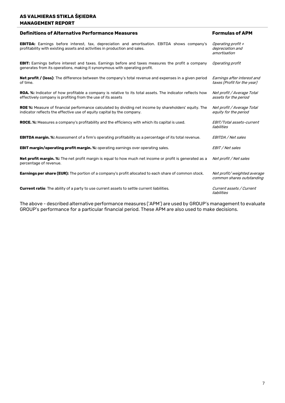# **AS VALMIERAS STIKLA ŠĶIEDRA MANAGEMENT REPORT**

| <b>Definitions of Alternative Performance Measures</b>                                                                                                                                  | <b>Formulas of APM</b>                                     |
|-----------------------------------------------------------------------------------------------------------------------------------------------------------------------------------------|------------------------------------------------------------|
| <b>EBITDA:</b> Earnings before interest, tax, depreciation and amortisation. EBITDA shows company's<br>profitability with existing assets and activities in production and sales.       | Operating profit +<br>depreciation and<br>amortisation     |
| <b>EBIT:</b> Earnings before interest and taxes. Earnings before and taxes measures the profit a company<br>generates from its operations, making it synonymous with operating profit.  | Operating profit                                           |
| <b>Net profit / (loss)</b> : The difference between the company's total revenue and expenses in a given period<br>of time.                                                              | Earnings after interest and<br>taxes (Profit for the year) |
| <b>ROA.</b> %: Indicator of how profitable a company is relative to its total assets. The indicator reflects how<br>effectively company is profiting from the use of its assets         | Net profit / Average Total<br>assets for the period        |
| <b>ROE %:</b> Measure of financial performance calculated by dividing net income by shareholders' equity. The<br>indicator reflects the effective use of equity capital by the company. | Net profit / Average Total<br>equity for the period        |
| <b>ROCE. %:</b> Measures a company's profitability and the efficiency with which its capital is used.                                                                                   | EBIT/Total assets-current<br>liabilities                   |
| <b>EBITDA margin.</b> %: Assessment of a firm's operating profitability as a percentage of its total revenue.                                                                           | EBITDA / Net sales                                         |
| <b>EBIT margin/operating profit margin. %:</b> operating earnings over operating sales.                                                                                                 | EBIT / Net sales                                           |
| Net profit margin. %: The net profit margin is equal to how much net income or profit is generated as a<br>percentage of revenue.                                                       | Net profit / Net sales                                     |
| <b>Earnings per share (EUR):</b> The portion of a company's profit allocated to each share of common stock.                                                                             | Net profit/weighted average<br>common shares outstanding   |
| <b>Current ratio:</b> The ability of a party to use current assets to settle current liabilities.                                                                                       | Current assets / Current<br>liabilities                    |

The above - described alternative performance measures ('APM') are used by GROUP's management to evaluate GROUP's performance for a particular financial period. These APM are also used to make decisions.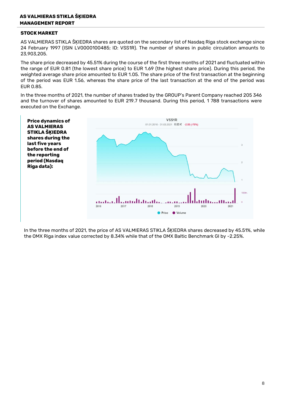#### **AS VALMIERAS STIKLA ŠĶIEDRA MANAGEMENT REPORT**

#### **STOCK MARKET**

AS VALMIERAS STIKLA ŠĶIEDRA shares are quoted on the secondary list of Nasdaq Riga stock exchange since 24 February 1997 (ISIN LV0000100485; ID: VSS1R). The number of shares in public circulation amounts to 23,903,205.

The share price decreased by 45.51% during the course of the first three months of 2021 and fluctuated within the range of EUR 0.81 (the lowest share price) to EUR 1.69 (the highest share price). During this period, the weighted average share price amounted to EUR 1.05. The share price of the first transaction at the beginning of the period was EUR 1.56, whereas the share price of the last transaction at the end of the period was EUR 0.85.

In the three months of 2021, the number of shares traded by the GROUP's Parent Company reached 205 346 and the turnover of shares amounted to EUR 219.7 thousand. During this period, 1 788 transactions were executed on the Exchange.



In the three months of 2021, the price of AS VALMIERAS STIKLA ŠĶIEDRA shares decreased by 45.51%, while the OMX Riga index value corrected by 8.34% while that of the OMX Baltic Benchmark GI by -2.25%.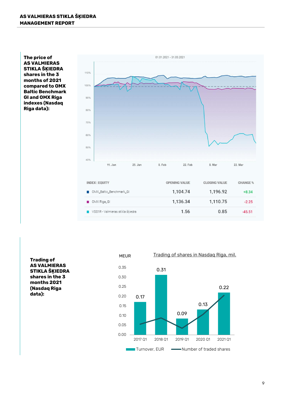**The price of AS VALMIERAS STIKLA ŠĶIEDRA shares in the 3 months of 2021 compared to OMX Baltic Benchmark GI and OMX Riga indexes (Nasdaq Riga data):**



| <b>INDEX   EQUITY</b>            | <b>OPENING VALUE</b> | <b>CLOSING VALUE</b> | <b>CHANGE %</b> |
|----------------------------------|----------------------|----------------------|-----------------|
| <b>M</b> OMX_Baltic_Benchmark_GI | 1,104.74             | 1,196.92             | $+8.34$         |
| OMX Riga_GI                      | 1,136.34             | 1,110.75             | $-2.25$         |
| VSS1R - Valmieras stikla škiedra | 1.56                 | 0.85                 | $-45.51$        |

**Trading of AS VALMIERAS STIKLA ŠĶIEDRA shares in the 3 months 2021 (Nasdaq Riga** 

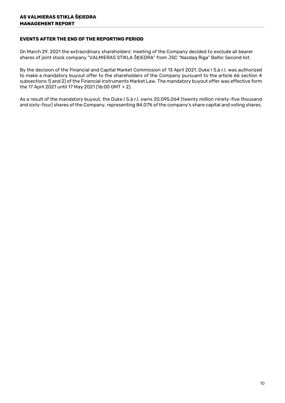#### **EVENTS AFTER THE END OF THE REPORTING PERIOD**

On March 29, 2021 the extraordinary shareholders' meeting of the Company decided to exclude all bearer shares of joint stock company "VALMIERAS STIKLA ŠĶIEDRA" from JSC "Nasdaq Riga" Baltic Second list.

By the decision of the Financial and Capital Market Commission of 13 April 2021, Duke I S.à r.l. was authorized to make a mandatory buyout offer to the shareholders of the Company pursuant to the article 66 section 4 subsections 1) and 2) of the Financial Instruments Market Law. The mandatory buyout offer was effective form the 17 April 2021 until 17 May 2021 (16:00 GMT + 2).

As a result of the mandatory buyout, the Duke I S.à r.l. owns 20,095,064 (twenty million ninety-five thousand and sixty-four) shares of the Company, representing 84.07% of the company's share capital and voting shares.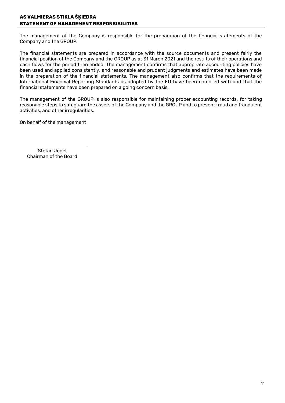# **AS VALMIERAS STIKLA ŠĶIEDRA STATEMENT OF MANAGEMENT RESPONSIBILITIES**

The management of the Company is responsible for the preparation of the financial statements of the Company and the GROUP.

The financial statements are prepared in accordance with the source documents and present fairly the financial position of the Company and the GROUP as at 31 March 2021 and the results of their operations and cash flows for the period then ended. The management confirms that appropriate accounting policies have been used and applied consistently, and reasonable and prudent judgments and estimates have been made in the preparation of the financial statements. The management also confirms that the requirements of International Financial Reporting Standards as adopted by the EU have been complied with and that the financial statements have been prepared on a going concern basis.

The management of the GROUP is also responsible for maintaining proper accounting records, for taking reasonable steps to safeguard the assets of the Company and the GROUP and to prevent fraud and fraudulent activities, and other irregularities.

On behalf of the management

Stefan Jugel Chairman of the Board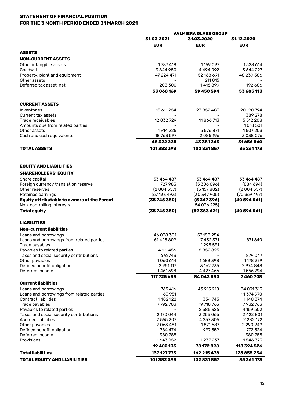#### **STATEMENT OF FINANCIAL POSITION FOR THE 3 MONTH PERIOD ENDED 31 MARCH 2021**

|                                                                          | <b>VALMIERA GLASS GROUP</b> |                         |                          |  |
|--------------------------------------------------------------------------|-----------------------------|-------------------------|--------------------------|--|
|                                                                          | 31.03.2021                  | 31.03.2020              | 31.12.2020               |  |
|                                                                          | <b>EUR</b>                  | <b>EUR</b>              | <b>EUR</b>               |  |
| <b>ASSETS</b>                                                            |                             |                         |                          |  |
| <b>NON-CURRENT ASSETS</b>                                                |                             |                         |                          |  |
| Other intangible assets                                                  | 1787418                     | 1159 097                | 1528 614                 |  |
| Goodwill                                                                 | 3844980                     | 4494092                 | 3 644 227                |  |
| Property, plant and equipment<br>Other assets                            | 47 224 471                  | 52 168 691<br>211815    | 48 239 586               |  |
| Deferred tax asset, net                                                  | 203 300                     | 1416899                 | 192 686                  |  |
|                                                                          | 53 060 169                  | 59450594                | 53 605 113               |  |
|                                                                          |                             |                         |                          |  |
| <b>CURRENT ASSETS</b>                                                    |                             |                         |                          |  |
| Inventories                                                              | 15 611 254                  | 23 852 483              | 20 190 794               |  |
| Current tax assets                                                       |                             |                         | 389 278                  |  |
| Trade receivables                                                        | 12 032 729                  | 11866713                | 5 512 208                |  |
| Amounts due from related parties<br>Other assets                         | 1914 225                    | 5 576 871               | 1018 501<br>1507203      |  |
| Cash and cash equivalents                                                | 18 763 597                  | 2085196                 | 3038076                  |  |
|                                                                          | 48 322 225                  | 43 381 263              | 31656060                 |  |
| <b>TOTAL ASSETS</b>                                                      | 101382393                   | 102831857               | 85 261 173               |  |
|                                                                          |                             |                         |                          |  |
|                                                                          |                             |                         |                          |  |
| <b>EQUITY AND LIABILITIES</b>                                            |                             |                         |                          |  |
| <b>SHAREHOLDERS' EQUITY</b>                                              |                             |                         |                          |  |
| Share capital                                                            | 33 464 487                  | 33 464 487              | 33 464 487               |  |
| Foreign currency translation reserve                                     | 727983                      | (5306096)               | (884694)                 |  |
| Other reserves                                                           | (2804357)                   | (3157882)               | (2804357)                |  |
| Retained earnings<br><b>Equity attributable to owners of the Parent</b>  | (67133493)<br>(35745380)    | (30347905)<br>(5347396) | (70369497)<br>(40594061) |  |
| Non-controlling interests                                                |                             | (54036225)              |                          |  |
| <b>Total equity</b>                                                      | (35745380)                  | (59383621)              | (40594061)               |  |
|                                                                          |                             |                         |                          |  |
| <b>LIABILITIES</b>                                                       |                             |                         |                          |  |
| <b>Non-current liabilities</b>                                           |                             |                         |                          |  |
| Loans and borrowings                                                     | 46 038 301                  | 57 188 254              |                          |  |
| Loans and borrowings from related parties                                | 61425809                    | 7432371                 | 871640                   |  |
| Trade payables<br>Payables to related parties                            | 4 111 4 5 6                 | 1295531<br>8852825      |                          |  |
| Taxes and social security contributions                                  | 676 743                     |                         | 879 047                  |  |
| Other payables                                                           | 1060 614                    | 1683398                 | 1178 379                 |  |
| Defined benefit obligation                                               | 2 951 117                   | 3 162 735               | 2974848                  |  |
| Deferred income                                                          | 1461598                     | 4 4 2 7 4 6 6           | 1556794                  |  |
|                                                                          | 117 725 638                 | 84 042 580              | 7460708                  |  |
| <b>Current liabilities</b>                                               |                             |                         |                          |  |
| Loans and borrowings                                                     | 765 416                     | 43 915 210              | 84 091 313               |  |
| Loans and borrowings from related parties<br><b>Contract liabilities</b> | 63 951<br>1182122           | 334 745                 | 11 374 970<br>1140 374   |  |
| Trade payables                                                           | 7792703                     | 19 718 763              | 7932763                  |  |
| Payables to related parties                                              |                             | 2585326                 | 4 159 502                |  |
| Taxes and social security contributions                                  | 2 170 044                   | 3 255 066               | 2422801                  |  |
| Accrued liabilities                                                      | 2555207                     | 4 257 305               | 2 2 8 2 1 7 2            |  |
| Other payables                                                           | 2063481                     | 1871687                 | 2 2 9 0 9 4 9            |  |
| Defined benefit obligation<br>Deferred income                            | 784 474<br>380785           | 997 559                 | 772 524<br>380785        |  |
| Provisions                                                               | 1643952                     | 1237237                 | 1546373                  |  |
|                                                                          | 19 402 135                  | 78 172 898              | 118 394 526              |  |
| <b>Total liabilities</b>                                                 | 137 127 773                 | 162 215 478             | 125 855 234              |  |
| <b>TOTAL EQUITY AND LIABILITIES</b>                                      | 101382393                   | 102831857               | 85 261 173               |  |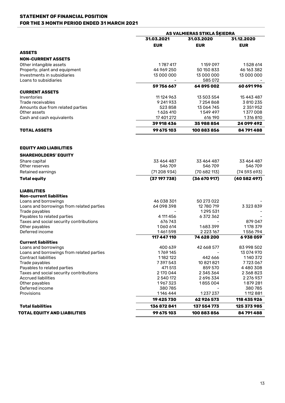# **STATEMENT OF FINANCIAL POSITION FOR THE 3 MONTH PERIOD ENDED 31 MARCH 2021**

|                                           | AS VALMIERAS STIKLA ŠKIEDRA |               |               |  |
|-------------------------------------------|-----------------------------|---------------|---------------|--|
|                                           | 31.03.2021                  | 31.03.2020    | 31.12.2020    |  |
|                                           | <b>EUR</b>                  | <b>EUR</b>    | <b>EUR</b>    |  |
| <b>ASSETS</b>                             |                             |               |               |  |
| <b>NON-CURRENT ASSETS</b>                 |                             |               |               |  |
| Other intangible assets                   | 1787417                     | 1159 097      | 1528 614      |  |
| Property, plant and equipment             | 44 969 250                  | 50 150 833    | 46 163 382    |  |
| Investments in subsidiaries               | 13 000 000                  | 13 000 000    | 13 000 000    |  |
| Loans to subsidiaries                     |                             | 585 072       |               |  |
|                                           | 59756667                    | 64895002      | 60 691 996    |  |
| <b>CURRENT ASSETS</b>                     |                             |               |               |  |
| Inventories                               | 11 124 963                  | 13 503 554    | 15 443 487    |  |
| Trade receivables                         | 9 241 9 33                  | 7254868       | 3 810 235     |  |
| Amounts due from related parties          | 523858                      | 13 064 745    | 2 351 952     |  |
| Other assets                              | 1626 410                    | 1549 497      | 1377008       |  |
| Cash and cash equivalents                 | 17 401 272                  | 616 190       | 1316810       |  |
|                                           | 39 918 436                  | 35988854      | 24 099 492    |  |
| <b>TOTAL ASSETS</b>                       | 99 675 103                  | 100 883 856   | 84 791 488    |  |
| <b>EQUITY AND LIABILITIES</b>             |                             |               |               |  |
|                                           |                             |               |               |  |
| <b>SHAREHOLDERS' EQUITY</b>               |                             |               |               |  |
| Share capital                             | 33 464 487                  | 33 464 487    | 33 464 487    |  |
| Other reserves                            | 546709                      | 546709        | 546709        |  |
| Retained earnings                         | (71208934)                  | (70682113)    | (74593693)    |  |
| <b>Total equity</b>                       | (37197738)                  | (36670917)    | (40582497)    |  |
| <b>LIABILITIES</b>                        |                             |               |               |  |
| Non-current liabilities                   |                             |               |               |  |
| Loans and borrowings                      | 46 038 301                  | 50 273 022    |               |  |
| Loans and borrowings from related parties | 64 098 398                  | 12 780 719    | 3 3 2 3 8 3 9 |  |
| Trade payables                            |                             | 1295 531      |               |  |
| Payables to related parties               | 4 111 4 5 6                 | 6 372 362     |               |  |
| Taxes and social security contributions   | 676743                      |               | 879047        |  |
| Other payables                            | 1060 614                    | 1683399       | 1178 379      |  |
| Deferred income                           | 1461598                     | 2 2 2 3 1 6 7 | 1556794       |  |
| <b>Current liabilities</b>                | 117 447 110                 | 74 628 200    | 6938059       |  |
| Loans and borrowings                      | 400 639                     | 42 668 577    | 83 998 502    |  |
| Loans and borrowings from related parties | 1769 145                    |               | 13 074 970    |  |
| <b>Contract liabilities</b>               | 1182122                     | 442 666       | 1140 372      |  |
| Trade payables                            | 7397543                     | 10 821 821    | 7723067       |  |
| Payables to related parties               | 471513                      | 859 570       | 4480308       |  |
| Taxes and social security contributions   | 2 170 044                   | 2 345 364     | 2 368 823     |  |
| <b>Accrued liabilities</b>                | 2 540 172                   | 2 696 334     | 2 276 937     |  |
| Other payables                            | 1967323                     | 1855004       | 1879 281      |  |
| Deferred income                           | 380785                      |               | 380785        |  |
| Provisions                                | 1146 444                    | 1237237       | 1112881       |  |
|                                           | 19 425 730                  | 62926573      | 118 435 926   |  |
| <b>Total liabilities</b>                  | 136872841                   | 137 554 773   | 125 373 985   |  |
| TOTAL EQUITY AND LIABILITIES              | 99 675 103                  | 100 883 856   | 84 791 488    |  |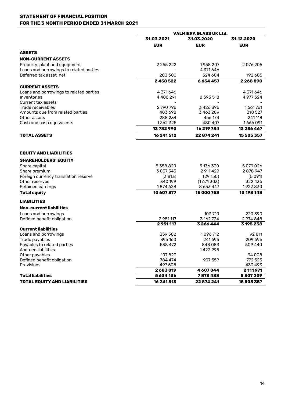#### **STATEMENT OF FINANCIAL POSITION FOR THE 3 MONTH PERIOD ENDED 31 MARCH 2021**

|                                              | <b>VALMIERA GLASS UK Ltd.</b> |               |                   |  |
|----------------------------------------------|-------------------------------|---------------|-------------------|--|
|                                              | 31.03.2021                    | 31.03.2020    |                   |  |
|                                              | <b>EUR</b>                    | <b>EUR</b>    | <b>EUR</b>        |  |
| <b>ASSETS</b>                                |                               |               |                   |  |
| <b>NON-CURRENT ASSETS</b>                    |                               |               |                   |  |
| Property, plant and equipment                | 2 255 222                     | 1958 207      | 2076205           |  |
| Loans and borrowings to related parties      |                               | 4 371 646     |                   |  |
| Deferred tax asset, net                      | 203 300                       | 324 604       | 192 685           |  |
|                                              | 2458522                       | 6654457       | 2268890           |  |
| <b>CURRENT ASSETS</b>                        |                               |               |                   |  |
| Loans and borrowings to related parties      | 4 371 646                     |               | 4 371 646         |  |
| Inventories                                  | 4486291                       | 8 3 9 3 5 1 8 | 4 977 324         |  |
| Current tax assets                           |                               |               |                   |  |
| Trade receivables                            | 2790796                       | 3426396       | 1661761           |  |
| Amounts due from related parties             | 483 698                       | 3463289       | 318 527           |  |
| Other assets                                 | 288 234                       | 456 174       | 241118            |  |
| Cash and cash equivalents                    | 1362325                       | 480 407       | 1666091           |  |
|                                              | 13782990                      | 16 219 784    | 13 236 467        |  |
| <b>TOTAL ASSETS</b>                          | 16 241 512                    | 22874241      | 15 505 357        |  |
| <b>EQUITY AND LIABILITIES</b>                |                               |               |                   |  |
| <b>SHAREHOLDERS' EQUITY</b>                  |                               |               |                   |  |
| Share capital                                | 5 358 820                     | 5 136 330     | 5079026           |  |
| Share premium                                | 3 0 3 7 5 4 3                 | 2 911 4 29    | 2878947           |  |
| Foreign currency translation reserve         | (3813)                        | (29150)       | (5091)            |  |
| Other reserves                               | 340 199                       | (1671303)     | 322 436           |  |
| Retained earnings                            | 1874 628                      | 8 6 5 3 4 4 7 | 1922830           |  |
| <b>Total equity</b>                          | 10 607 377                    | 15 000 753    | 10 198 148        |  |
| <b>LIABILITIES</b>                           |                               |               |                   |  |
| <b>Non-current liabilities</b>               |                               |               |                   |  |
| Loans and borrowings                         |                               | 103710        | 220 390           |  |
| Defined benefit obligation                   | 2 951 117                     | 3 162 734     | 2974848           |  |
|                                              | 2951117                       | 3266444       | 3 195 238         |  |
| <b>Current liabilities</b>                   |                               |               |                   |  |
| Loans and borrowings                         | 359 582                       | 1096712       | 92 811            |  |
| Trade payables                               | 395 160                       | 241695        | 209 696           |  |
| Payables to related parties                  | 538 472                       | 848083        | 509 440           |  |
| <b>Accrued liabilities</b>                   |                               | 1422995       |                   |  |
| Other payables<br>Defined benefit obligation | 107823<br>784 474             |               | 94 008<br>772 523 |  |
| Provisions                                   | 497 508                       | 997 559       | 433 493           |  |
|                                              | 2683019                       | 4 607 044     | 2 111 971         |  |
| <b>Total liabilities</b>                     | 5634136                       | 7873488       | 5307209           |  |
| <b>TOTAL EQUITY AND LIABILITIES</b>          | 16 241 513                    | 22874241      | 15 505 357        |  |
|                                              |                               |               |                   |  |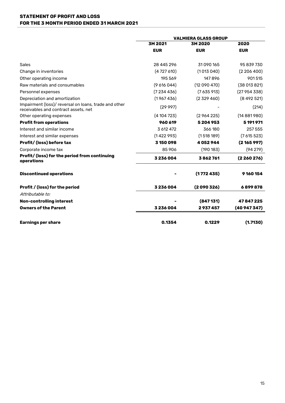#### **STATEMENT OF PROFIT AND LOSS FOR THE 3 MONTH PERIOD ENDED 31 MARCH 2021**

|                                                                                               | <b>VALMIERA GLASS GROUP</b> |            |            |  |
|-----------------------------------------------------------------------------------------------|-----------------------------|------------|------------|--|
|                                                                                               | 3M 2021                     | 3M 2020    | 2020       |  |
|                                                                                               | <b>EUR</b>                  | <b>EUR</b> | <b>EUR</b> |  |
| <b>Sales</b>                                                                                  | 28 445 296                  | 31090165   | 95 839 730 |  |
| Change in inventories                                                                         | (4727610)                   | (1013040)  | (2206400)  |  |
| Other operating income                                                                        | 195 569                     | 147896     | 901515     |  |
| Raw materials and consumables                                                                 | (9616044)                   | (12090470) | (38013821) |  |
| Personnel expenses                                                                            | (7234436)                   | (7635913)  | (27954338) |  |
| Depreciation and amortization                                                                 | (1967436)                   | (2329460)  | (8492521)  |  |
| Impairment (loss)/ reversal on loans, trade and other<br>receivables and contract assets, net | (29997)                     |            | (214)      |  |
| Other operating expenses                                                                      | (4104723)                   | (2964225)  | (14881980) |  |
| <b>Profit from operations</b>                                                                 | 960 619                     | 5204953    | 5 191 971  |  |
| Interest and similar income                                                                   | 3 612 472                   | 366180     | 257 555    |  |
| Interest and similar expenses                                                                 | (1422993)                   | (1518189)  | (7615523)  |  |
| Profit/ (loss) before tax                                                                     | 3 150 098                   | 4052944    | (2165997)  |  |
| Corporate income tax                                                                          | 85 906                      | (190183)   | (94279)    |  |
| Profit/ (loss) for the period from continuing<br>operations                                   | 3236004                     | 3862761    | (2260276)  |  |
| <b>Discontinued operations</b>                                                                |                             | (1772435)  | 9160154    |  |
| Profit / (loss) for the period                                                                | 3236004                     | (2090326)  | 6899878    |  |
| Attributable to:                                                                              |                             |            |            |  |
| Non-controlling interest                                                                      |                             | (847131)   | 47847225   |  |
| <b>Owners of the Parent</b>                                                                   | 3236004                     | 2937457    | (40947347) |  |
| <b>Earnings per share</b>                                                                     | 0.1354                      | 0.1229     | (1.7130)   |  |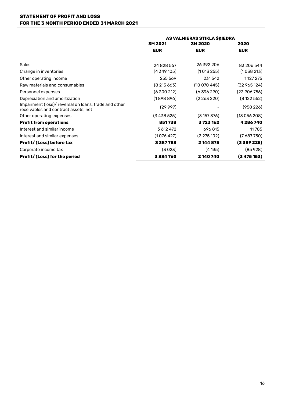#### **STATEMENT OF PROFIT AND LOSS FOR THE 3 MONTH PERIOD ENDED 31 MARCH 2021**

|                                                                                               | AS VALMIERAS STIKLA ŠĶIEDRA |             |              |  |
|-----------------------------------------------------------------------------------------------|-----------------------------|-------------|--------------|--|
|                                                                                               | 3M 2020<br>3M 2021          |             | 2020         |  |
|                                                                                               | <b>EUR</b>                  | <b>EUR</b>  | <b>EUR</b>   |  |
|                                                                                               |                             |             |              |  |
| Sales                                                                                         | 24828567                    | 26 392 206  | 83 206 544   |  |
| Change in inventories                                                                         | (4349105)                   | (1013255)   | (1038213)    |  |
| Other operating income                                                                        | 255 569                     | 231542      | 1127 275     |  |
| Raw materials and consumables                                                                 | (8215663)                   | (10070445)  | (32 965 124) |  |
| Personnel expenses                                                                            | (6300212)                   | (6 396 290) | (23906756)   |  |
| Depreciation and amortization                                                                 | (1898896)                   | (2 263 220) | (8122552)    |  |
| Impairment (loss)/ reversal on loans, trade and other<br>receivables and contract assets, net | (29997)                     |             | (958226)     |  |
| Other operating expenses                                                                      | (3438525)                   | (3157376)   | (13056208)   |  |
| <b>Profit from operations</b>                                                                 | 851738                      | 3723162     | 4286740      |  |
| Interest and similar income                                                                   | 3 612 472                   | 696815      | 11785        |  |
| Interest and similar expenses                                                                 | (1076427)                   | (2275102)   | (7687750)    |  |
| Profit/ (Loss) before tax                                                                     | 3387783                     | 2 144 875   | (3 389 225)  |  |
| Corporate income tax                                                                          | (3023)                      | (4135)      | (85928)      |  |
| Profit/ (Loss) for the period                                                                 | 3384760                     | 2140740     | (3475153)    |  |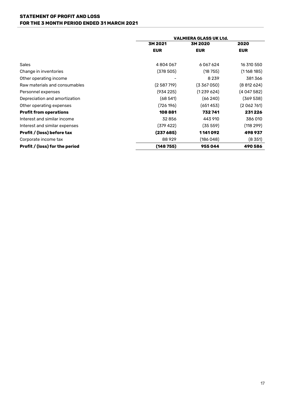#### **STATEMENT OF PROFIT AND LOSS FOR THE 3 MONTH PERIOD ENDED 31 MARCH 2021**

|                                | <b>VALMIERA GLASS UK Ltd.</b> |             |            |  |
|--------------------------------|-------------------------------|-------------|------------|--|
|                                | 3M 2021                       | 3M 2020     | 2020       |  |
|                                | <b>EUR</b>                    | <b>EUR</b>  | <b>EUR</b> |  |
| <b>Sales</b>                   | 4804067                       | 6067624     | 16 310 550 |  |
| Change in inventories          | (378505)                      | (18755)     | (1168185)  |  |
| Other operating income         | ۰                             | 8 2 3 9     | 381366     |  |
| Raw materials and consumables  | (2587719)                     | (3,367,050) | (8812624)  |  |
| Personnel expenses             | (934 225)                     | (1239624)   | (4047582)  |  |
| Depreciation and amortization  | (68541)                       | (66240)     | (369 538)  |  |
| Other operating expenses       | (726 196)                     | (651453)    | (2062761)  |  |
| <b>Profit from operations</b>  | 108881                        | 732741      | 231226     |  |
| Interest and similar income    | 32856                         | 443 910     | 386 010    |  |
| Interest and similar expenses  | (379 422)                     | (35 559)    | (118 299)  |  |
| Profit / (loss) before tax     | (237685)                      | 1141092     | 498937     |  |
| Corporate income tax           | 88929                         | (186048)    | $(8\,351)$ |  |
| Profit / (loss) for the period | (148755)                      | 955044      | 490586     |  |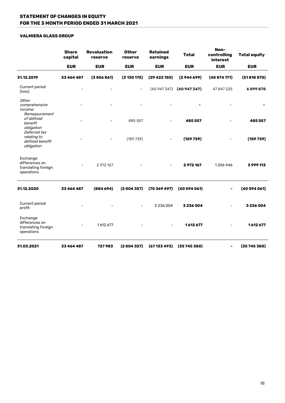#### **VALMIERA GLASS GROUP**

|                                                                 | <b>Share</b><br>capital | <b>Revaluation</b><br>reserve | <b>Other</b><br>reserve | <b>Retained</b><br>earnings | <b>Total</b> | Non-<br>controlling<br>interest | <b>Total equity</b> |
|-----------------------------------------------------------------|-------------------------|-------------------------------|-------------------------|-----------------------------|--------------|---------------------------------|---------------------|
|                                                                 | <b>EUR</b>              | <b>EUR</b>                    | <b>EUR</b>              | <b>EUR</b>                  | <b>EUR</b>   | <b>EUR</b>                      | <b>EUR</b>          |
| 31.12.2019                                                      | 33 464 487              | (3856861)                     | (3130175)               | (29422150)                  | (2944699)    | (48874171)                      | (51818870)          |
| Current period<br>(loss)                                        |                         |                               |                         | (40947347)                  | (40947347)   | 47 847 225                      | 6899878             |
| Other<br>comprehensive<br>income:<br>Remeasurement              |                         |                               |                         |                             |              |                                 |                     |
| of defined<br>benefit<br>obligation<br>Deferred tax             |                         |                               | 485 557                 |                             | 485 557      |                                 | 485557              |
| relating to<br>defined benefit<br>obligation                    |                         |                               | (159739)                |                             | (159739)     |                                 | (159739)            |
| Exchange<br>differences on<br>translating foreign<br>operations |                         | 2 972 167                     |                         |                             | 2972167      | 1206946                         | 3999113             |
| 31.12.2020                                                      | 33 464 487              | (884694)                      | (2804357)               | (70369497)                  | (40594061)   |                                 | (40594061)          |
| Current period<br>profit                                        |                         |                               |                         | 3 236 004                   | 3236004      |                                 | 3236004             |
| Exchange<br>differences on<br>translating foreign<br>operations |                         | 1612677                       |                         |                             | 1612677      |                                 | 1612677             |
| 31.03.2021                                                      | 33464487                | 727983                        | (2804357)               | (67133493)                  | (35745380)   |                                 | (35745380)          |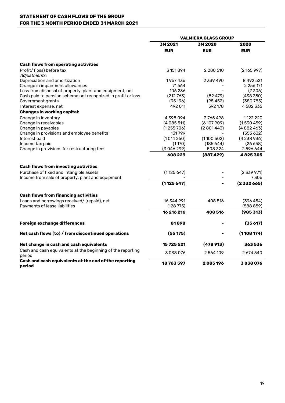# **STATEMENT OF CASH FLOWS OF THE GROUP FOR THE 3 MONTH PERIOD ENDED 31 MARCH 2021**

|                                                                       | <b>VALMIERA GLASS GROUP</b> |               |            |
|-----------------------------------------------------------------------|-----------------------------|---------------|------------|
|                                                                       | 3M 2021                     | 3M 2020       | 2020       |
|                                                                       | <b>EUR</b>                  | <b>EUR</b>    | <b>EUR</b> |
| <b>Cash flows from operating activities</b>                           |                             |               |            |
| Profit/ (loss) before tax<br>Adjustments:                             | 3 151 894                   | 2 2 8 0 5 1 0 | (2165997)  |
| Depreciation and amortization                                         | 1967436                     | 2 339 490     | 8 492 521  |
| Change in impairment allowances                                       | 71664                       |               | 2 256 171  |
| Loss from disposal of property, plant and equipment, net              | 106 236                     |               | (7306)     |
| Cash paid to pension scheme not recognized in profit or loss          | (212763)                    | (82479)       | (438 350)  |
| Government grants                                                     | (95196)                     | (95452)       | (380785)   |
| Interest expense, net                                                 | 492 011                     | 592 178       | 4582335    |
| <b>Changes in working capital:</b>                                    |                             |               |            |
| Change in inventory                                                   | 4398094                     | 3765498       | 1122 220   |
| Change in receivables                                                 | (4085511)                   | (6107909)     | (1530459)  |
| Change in payables                                                    | (1255706)                   | (2801443)     | (4882463)  |
| Change in provisions and employee benefits                            | 131799                      |               | (553632)   |
| Interest paid                                                         | (1014260)                   | (1100502)     | (4238936)  |
| Income tax paid                                                       | (1170)                      | (185644)      | (26658)    |
| Change in provisions for restructuring fees                           | (3046299)                   | 508 324       | 2596644    |
|                                                                       | 608 229                     | (887429)      | 4825305    |
| <b>Cash flows from investing activities</b>                           |                             |               |            |
| Purchase of fixed and intangible assets                               | (1125647)                   |               | (2339971)  |
| Income from sale of property, plant and equipment                     |                             |               | 7306       |
|                                                                       | (1125647)                   |               | (2332665)  |
| <b>Cash flows from financing activities</b>                           |                             |               |            |
| Loans and borrowings received/ (repaid), net                          | 16 344 991                  | 408 516       | (396454)   |
| Payments of lease liabilities                                         | (128775)                    |               | (588859)   |
|                                                                       | 16 216 216                  | 408 516       | (985313)   |
| Foreign exchange differences                                          | 81898                       |               | (35617)    |
| Net cash flows (to) / from discontinued operations                    | (55175)                     |               | (1108174)  |
| Net change in cash and cash equivalents                               | 15 725 521                  | (478913)      | 363536     |
| Cash and cash equivalents at the beginning of the reporting<br>period | 3038076                     | 2564109       | 2674540    |
| Cash and cash equivalents at the end of the reporting<br>period       | 18763597                    | 2085196       | 3038076    |